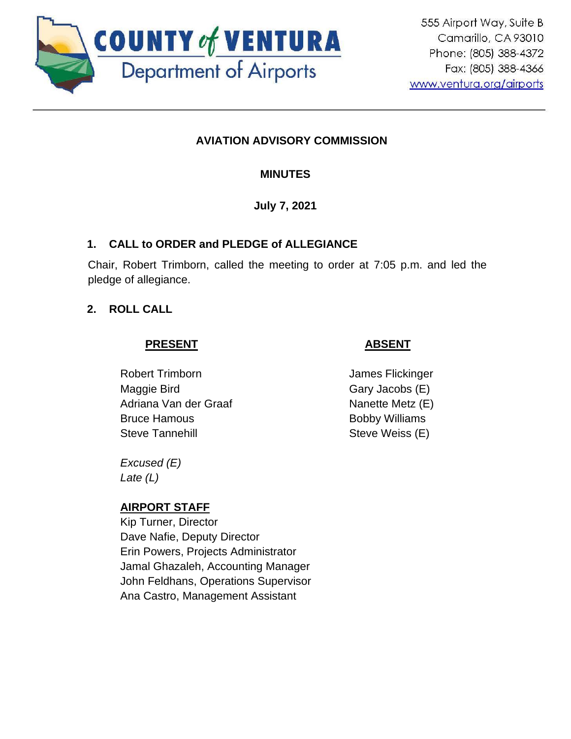

## **AVIATION ADVISORY COMMISSION**

**MINUTES**

**July 7, 2021**

## **1. CALL to ORDER and PLEDGE of ALLEGIANCE**

Chair, Robert Trimborn, called the meeting to order at 7:05 p.m. and led the pledge of allegiance.

## **2. ROLL CALL**

## **PRESENT**

Robert Trimborn Maggie Bird Adriana Van der Graaf Bruce Hamous Steve Tannehill

- **ABSENT**
- James Flickinger Gary Jacobs (E) Nanette Metz (E) Bobby Williams Steve Weiss (E)

*Excused (E) Late (L)*

# **AIRPORT STAFF**

Kip Turner, Director Dave Nafie, Deputy Director Erin Powers, Projects Administrator Jamal Ghazaleh, Accounting Manager John Feldhans, Operations Supervisor Ana Castro, Management Assistant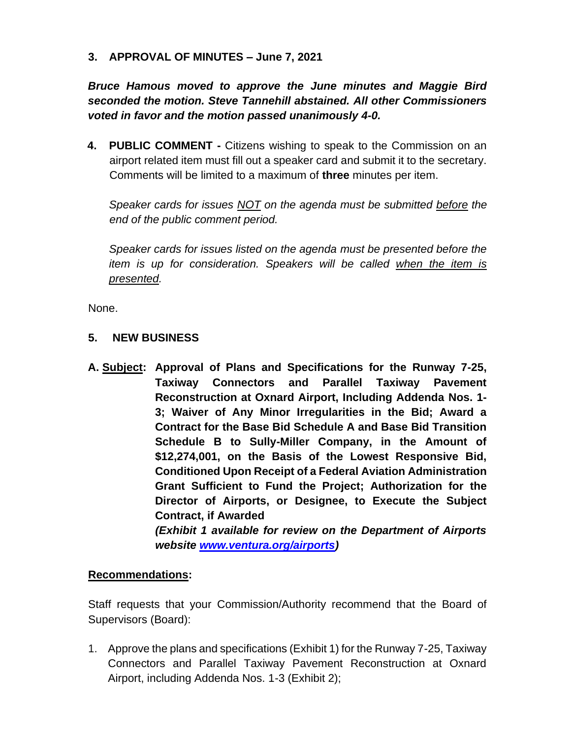**3. APPROVAL OF MINUTES – June 7, 2021**

*Bruce Hamous moved to approve the June minutes and Maggie Bird seconded the motion. Steve Tannehill abstained. All other Commissioners voted in favor and the motion passed unanimously 4-0.*

**4. PUBLIC COMMENT -** Citizens wishing to speak to the Commission on an airport related item must fill out a speaker card and submit it to the secretary. Comments will be limited to a maximum of **three** minutes per item.

*Speaker cards for issues NOT on the agenda must be submitted before the end of the public comment period.* 

*Speaker cards for issues listed on the agenda must be presented before the item is up for consideration. Speakers will be called when the item is presented.*

None.

#### **5. NEW BUSINESS**

**A. Subject: Approval of Plans and Specifications for the Runway 7-25, Taxiway Connectors and Parallel Taxiway Pavement Reconstruction at Oxnard Airport, Including Addenda Nos. 1- 3; Waiver of Any Minor Irregularities in the Bid; Award a Contract for the Base Bid Schedule A and Base Bid Transition Schedule B to Sully-Miller Company, in the Amount of \$12,274,001, on the Basis of the Lowest Responsive Bid, Conditioned Upon Receipt of a Federal Aviation Administration Grant Sufficient to Fund the Project; Authorization for the Director of Airports, or Designee, to Execute the Subject Contract, if Awarded** *(Exhibit 1 available for review on the Department of Airports* 

*website [www.ventura.org/airports\)](http://www.ventura.org/airports)* 

#### **Recommendations:**

Staff requests that your Commission/Authority recommend that the Board of Supervisors (Board):

1. Approve the plans and specifications (Exhibit 1) for the Runway 7-25, Taxiway Connectors and Parallel Taxiway Pavement Reconstruction at Oxnard Airport, including Addenda Nos. 1-3 (Exhibit 2);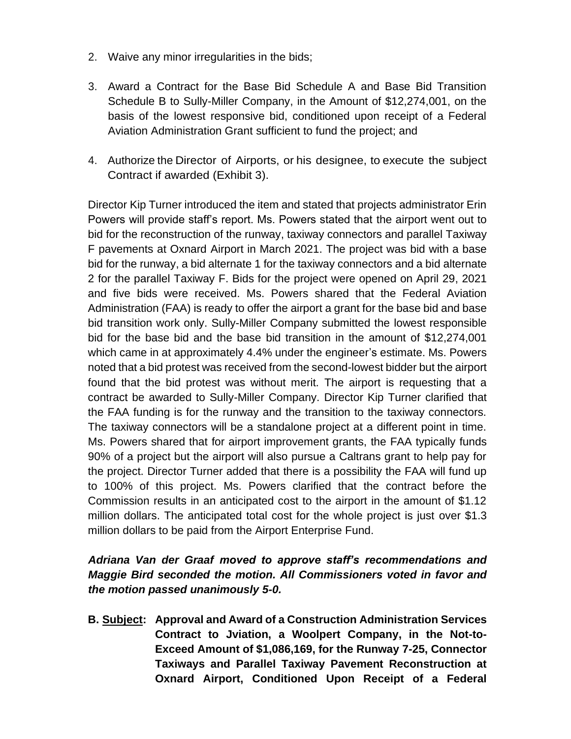- 2. Waive any minor irregularities in the bids;
- 3. Award a Contract for the Base Bid Schedule A and Base Bid Transition Schedule B to Sully-Miller Company, in the Amount of \$12,274,001, on the basis of the lowest responsive bid, conditioned upon receipt of a Federal Aviation Administration Grant sufficient to fund the project; and
- 4. Authorize the Director of Airports, or his designee, to execute the subject Contract if awarded (Exhibit 3).

Director Kip Turner introduced the item and stated that projects administrator Erin Powers will provide staff's report. Ms. Powers stated that the airport went out to bid for the reconstruction of the runway, taxiway connectors and parallel Taxiway F pavements at Oxnard Airport in March 2021. The project was bid with a base bid for the runway, a bid alternate 1 for the taxiway connectors and a bid alternate 2 for the parallel Taxiway F. Bids for the project were opened on April 29, 2021 and five bids were received. Ms. Powers shared that the Federal Aviation Administration (FAA) is ready to offer the airport a grant for the base bid and base bid transition work only. Sully-Miller Company submitted the lowest responsible bid for the base bid and the base bid transition in the amount of \$12,274,001 which came in at approximately 4.4% under the engineer's estimate. Ms. Powers noted that a bid protest was received from the second-lowest bidder but the airport found that the bid protest was without merit. The airport is requesting that a contract be awarded to Sully-Miller Company. Director Kip Turner clarified that the FAA funding is for the runway and the transition to the taxiway connectors. The taxiway connectors will be a standalone project at a different point in time. Ms. Powers shared that for airport improvement grants, the FAA typically funds 90% of a project but the airport will also pursue a Caltrans grant to help pay for the project. Director Turner added that there is a possibility the FAA will fund up to 100% of this project. Ms. Powers clarified that the contract before the Commission results in an anticipated cost to the airport in the amount of \$1.12 million dollars. The anticipated total cost for the whole project is just over \$1.3 million dollars to be paid from the Airport Enterprise Fund.

### *Adriana Van der Graaf moved to approve staff's recommendations and Maggie Bird seconded the motion. All Commissioners voted in favor and the motion passed unanimously 5-0.*

**B. Subject: Approval and Award of a Construction Administration Services Contract to Jviation, a Woolpert Company, in the Not-to-Exceed Amount of \$1,086,169, for the Runway 7-25, Connector Taxiways and Parallel Taxiway Pavement Reconstruction at Oxnard Airport, Conditioned Upon Receipt of a Federal**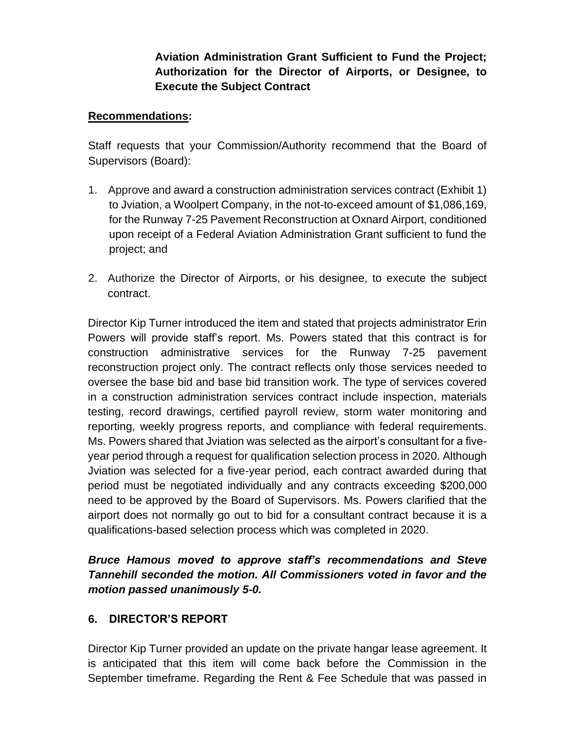**Aviation Administration Grant Sufficient to Fund the Project; Authorization for the Director of Airports, or Designee, to Execute the Subject Contract**

#### **Recommendations:**

Staff requests that your Commission/Authority recommend that the Board of Supervisors (Board):

- 1. Approve and award a construction administration services contract (Exhibit 1) to Jviation, a Woolpert Company, in the not-to-exceed amount of \$1,086,169, for the Runway 7-25 Pavement Reconstruction at Oxnard Airport, conditioned upon receipt of a Federal Aviation Administration Grant sufficient to fund the project; and
- 2. Authorize the Director of Airports, or his designee, to execute the subject contract.

Director Kip Turner introduced the item and stated that projects administrator Erin Powers will provide staff's report. Ms. Powers stated that this contract is for construction administrative services for the Runway 7-25 pavement reconstruction project only. The contract reflects only those services needed to oversee the base bid and base bid transition work. The type of services covered in a construction administration services contract include inspection, materials testing, record drawings, certified payroll review, storm water monitoring and reporting, weekly progress reports, and compliance with federal requirements. Ms. Powers shared that Jviation was selected as the airport's consultant for a fiveyear period through a request for qualification selection process in 2020. Although Jviation was selected for a five-year period, each contract awarded during that period must be negotiated individually and any contracts exceeding \$200,000 need to be approved by the Board of Supervisors. Ms. Powers clarified that the airport does not normally go out to bid for a consultant contract because it is a qualifications-based selection process which was completed in 2020.

## *Bruce Hamous moved to approve staff's recommendations and Steve Tannehill seconded the motion. All Commissioners voted in favor and the motion passed unanimously 5-0.*

#### **6. DIRECTOR'S REPORT**

Director Kip Turner provided an update on the private hangar lease agreement. It is anticipated that this item will come back before the Commission in the September timeframe. Regarding the Rent & Fee Schedule that was passed in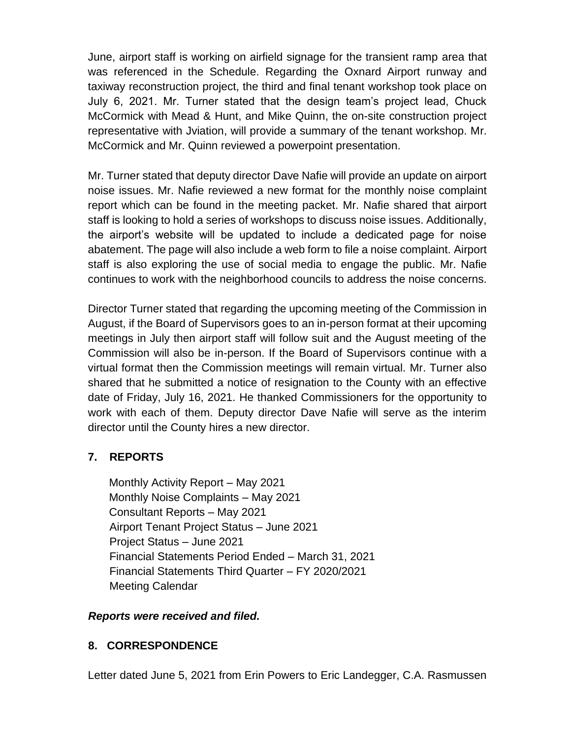June, airport staff is working on airfield signage for the transient ramp area that was referenced in the Schedule. Regarding the Oxnard Airport runway and taxiway reconstruction project, the third and final tenant workshop took place on July 6, 2021. Mr. Turner stated that the design team's project lead, Chuck McCormick with Mead & Hunt, and Mike Quinn, the on-site construction project representative with Jviation, will provide a summary of the tenant workshop. Mr. McCormick and Mr. Quinn reviewed a powerpoint presentation.

Mr. Turner stated that deputy director Dave Nafie will provide an update on airport noise issues. Mr. Nafie reviewed a new format for the monthly noise complaint report which can be found in the meeting packet. Mr. Nafie shared that airport staff is looking to hold a series of workshops to discuss noise issues. Additionally, the airport's website will be updated to include a dedicated page for noise abatement. The page will also include a web form to file a noise complaint. Airport staff is also exploring the use of social media to engage the public. Mr. Nafie continues to work with the neighborhood councils to address the noise concerns.

Director Turner stated that regarding the upcoming meeting of the Commission in August, if the Board of Supervisors goes to an in-person format at their upcoming meetings in July then airport staff will follow suit and the August meeting of the Commission will also be in-person. If the Board of Supervisors continue with a virtual format then the Commission meetings will remain virtual. Mr. Turner also shared that he submitted a notice of resignation to the County with an effective date of Friday, July 16, 2021. He thanked Commissioners for the opportunity to work with each of them. Deputy director Dave Nafie will serve as the interim director until the County hires a new director.

## **7. REPORTS**

Monthly Activity Report – May 2021 Monthly Noise Complaints – May 2021 Consultant Reports – May 2021 Airport Tenant Project Status – June 2021 Project Status – June 2021 Financial Statements Period Ended – March 31, 2021 Financial Statements Third Quarter – FY 2020/2021 Meeting Calendar

#### *Reports were received and filed.*

## **8. CORRESPONDENCE**

Letter dated June 5, 2021 from Erin Powers to Eric Landegger, C.A. Rasmussen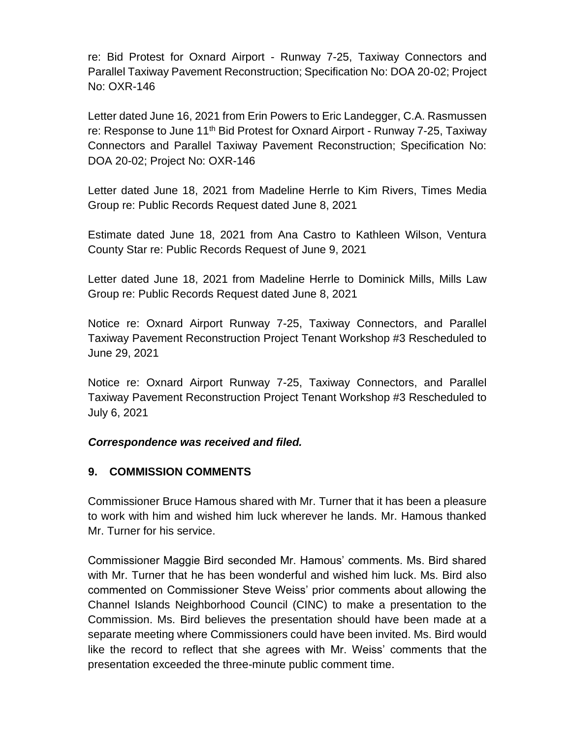re: Bid Protest for Oxnard Airport - Runway 7-25, Taxiway Connectors and Parallel Taxiway Pavement Reconstruction; Specification No: DOA 20-02; Project No: OXR-146

Letter dated June 16, 2021 from Erin Powers to Eric Landegger, C.A. Rasmussen re: Response to June 11th Bid Protest for Oxnard Airport - Runway 7-25, Taxiway Connectors and Parallel Taxiway Pavement Reconstruction; Specification No: DOA 20-02; Project No: OXR-146

Letter dated June 18, 2021 from Madeline Herrle to Kim Rivers, Times Media Group re: Public Records Request dated June 8, 2021

Estimate dated June 18, 2021 from Ana Castro to Kathleen Wilson, Ventura County Star re: Public Records Request of June 9, 2021

Letter dated June 18, 2021 from Madeline Herrle to Dominick Mills, Mills Law Group re: Public Records Request dated June 8, 2021

Notice re: Oxnard Airport Runway 7-25, Taxiway Connectors, and Parallel Taxiway Pavement Reconstruction Project Tenant Workshop #3 Rescheduled to June 29, 2021

Notice re: Oxnard Airport Runway 7-25, Taxiway Connectors, and Parallel Taxiway Pavement Reconstruction Project Tenant Workshop #3 Rescheduled to July 6, 2021

#### *Correspondence was received and filed.*

#### **9. COMMISSION COMMENTS**

Commissioner Bruce Hamous shared with Mr. Turner that it has been a pleasure to work with him and wished him luck wherever he lands. Mr. Hamous thanked Mr. Turner for his service.

Commissioner Maggie Bird seconded Mr. Hamous' comments. Ms. Bird shared with Mr. Turner that he has been wonderful and wished him luck. Ms. Bird also commented on Commissioner Steve Weiss' prior comments about allowing the Channel Islands Neighborhood Council (CINC) to make a presentation to the Commission. Ms. Bird believes the presentation should have been made at a separate meeting where Commissioners could have been invited. Ms. Bird would like the record to reflect that she agrees with Mr. Weiss' comments that the presentation exceeded the three-minute public comment time.